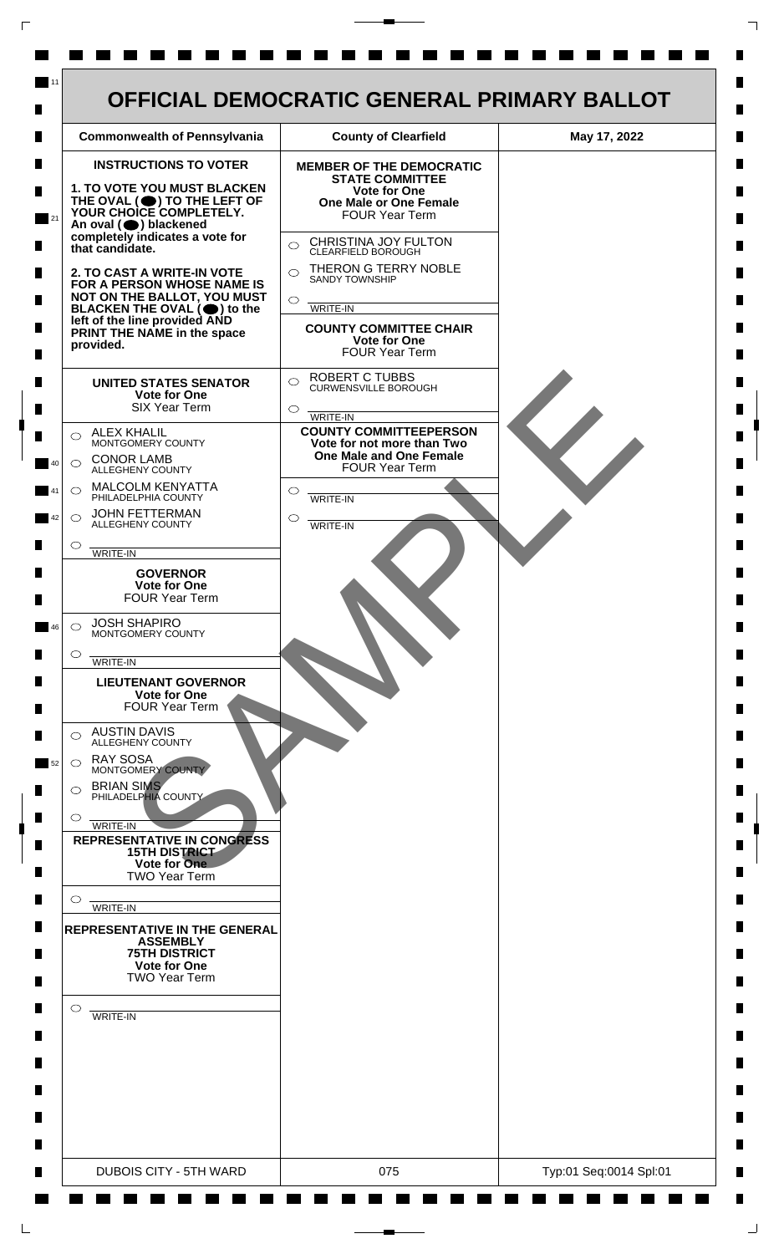

 $\mathsf{L}$ 

 $\Box$